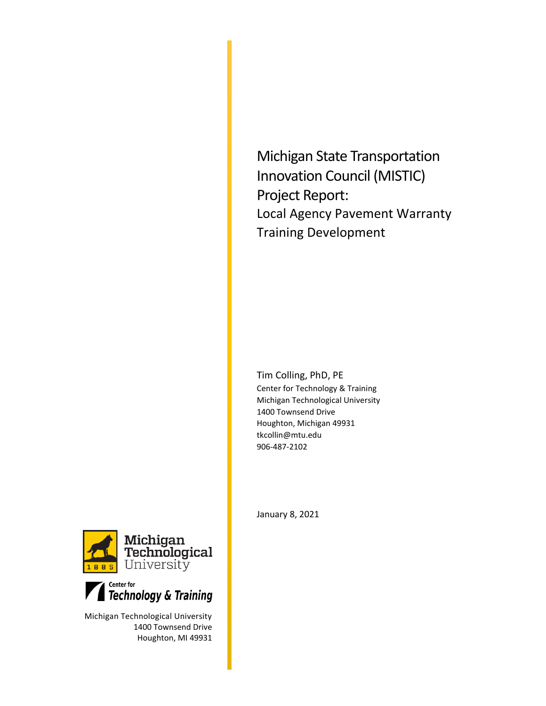Michigan State Transportation Innovation Council (MISTIC) Project Report: Local Agency Pavement Warranty Training Development

Tim Colling, PhD, PE Center for Technology & Training Michigan Technological University 1400 Townsend Drive Houghton, Michigan 49931 tkcollin@mtu.edu 906-487-2102

January 8, 2021





Michigan Technological University 1400 Townsend Drive Houghton, MI 49931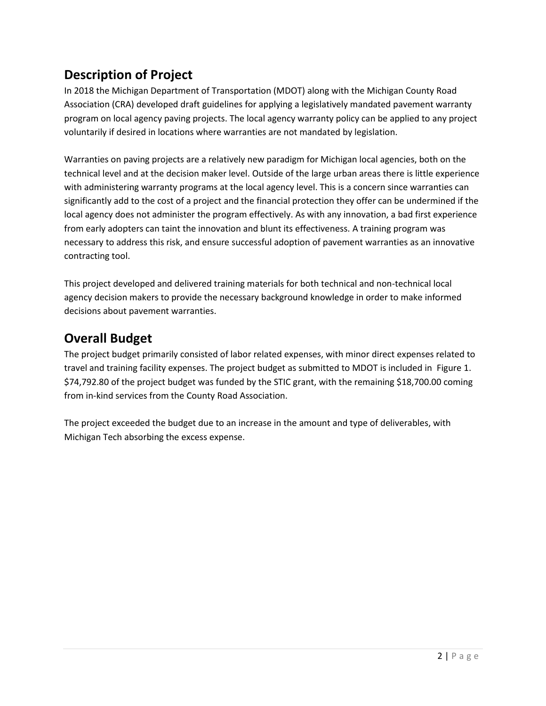### **Description of Project**

In 2018 the Michigan Department of Transportation (MDOT) along with the Michigan County Road Association (CRA) developed draft guidelines for applying a legislatively mandated pavement warranty program on local agency paving projects. The local agency warranty policy can be applied to any project voluntarily if desired in locations where warranties are not mandated by legislation.

Warranties on paving projects are a relatively new paradigm for Michigan local agencies, both on the technical level and at the decision maker level. Outside of the large urban areas there is little experience with administering warranty programs at the local agency level. This is a concern since warranties can significantly add to the cost of a project and the financial protection they offer can be undermined if the local agency does not administer the program effectively. As with any innovation, a bad first experience from early adopters can taint the innovation and blunt its effectiveness. A training program was necessary to address this risk, and ensure successful adoption of pavement warranties as an innovative contracting tool.

This project developed and delivered training materials for both technical and non-technical local agency decision makers to provide the necessary background knowledge in order to make informed decisions about pavement warranties.

#### **Overall Budget**

The project budget primarily consisted of labor related expenses, with minor direct expenses related to travel and training facility expenses. The project budget as submitted to MDOT is included in [Figure 1.](#page-2-0) \$74,792.80 of the project budget was funded by the STIC grant, with the remaining \$18,700.00 coming from in-kind services from the County Road Association.

The project exceeded the budget due to an increase in the amount and type of deliverables, with Michigan Tech absorbing the excess expense.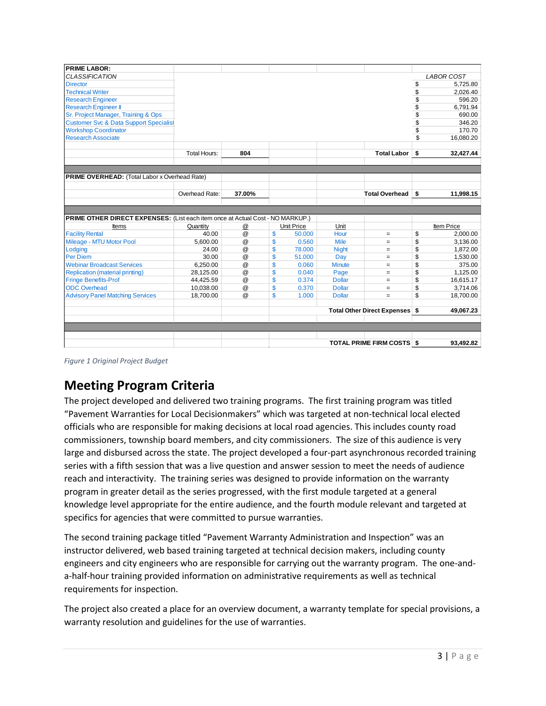| <b>CLASSIFICATION</b>                                                          |                     |                |                   |               |                                | <b>LABOR COST</b> |
|--------------------------------------------------------------------------------|---------------------|----------------|-------------------|---------------|--------------------------------|-------------------|
| <b>Director</b>                                                                |                     |                |                   |               |                                | \$<br>5,725.80    |
| <b>Technical Writer</b>                                                        |                     |                |                   |               |                                | \$<br>2,026.40    |
| <b>Research Engineer</b>                                                       |                     |                |                   |               |                                | \$<br>596.20      |
| <b>Research Engineer II</b>                                                    |                     |                |                   |               |                                | \$<br>6,791.94    |
| Sr. Project Manager, Training & Ops                                            |                     |                |                   |               |                                | \$<br>690.00      |
| <b>Customer Svc &amp; Data Support Specialist</b>                              |                     |                |                   |               |                                | \$<br>346.20      |
| <b>Workshop Coordinator</b>                                                    |                     |                |                   |               |                                | \$<br>170.70      |
| <b>Research Associate</b>                                                      |                     |                |                   |               |                                | \$<br>16,080.20   |
|                                                                                |                     |                |                   |               |                                |                   |
|                                                                                | <b>Total Hours:</b> | 804            |                   |               | <b>Total Labor</b>             | \$<br>32,427.44   |
|                                                                                |                     |                |                   |               |                                |                   |
|                                                                                |                     |                |                   |               |                                |                   |
| <b>PRIME OVERHEAD:</b> (Total Labor x Overhead Rate)                           |                     |                |                   |               |                                |                   |
|                                                                                |                     |                |                   |               |                                |                   |
|                                                                                | Overhead Rate:      | 37.00%         |                   |               | <b>Total Overhead</b>          | \$<br>11,998.15   |
|                                                                                |                     |                |                   |               |                                |                   |
|                                                                                |                     |                |                   |               |                                |                   |
|                                                                                |                     |                |                   |               |                                |                   |
| PRIME OTHER DIRECT EXPENSES: (List each item once at Actual Cost - NO MARKUP.) |                     |                |                   |               |                                |                   |
| Items                                                                          | Quantity            | @              | <b>Unit Price</b> | Unit          |                                | Item Price        |
| <b>Facility Rental</b>                                                         | 40.00               | @              | \$<br>50.000      | Hour          | $=$                            | \$<br>2,000.00    |
| Mileage - MTU Motor Pool                                                       | 5,600.00            | $^{\circledR}$ | \$<br>0.560       | <b>Mile</b>   | $=$                            | \$<br>3,136.00    |
| Lodging                                                                        | 24.00               | $^{\circledR}$ | \$<br>78.000      | <b>Night</b>  | $=$                            | \$<br>1,872.00    |
| <b>Per Diem</b>                                                                | 30.00               | $^{\circledR}$ | \$<br>51.000      | Day           | $=$                            | \$<br>1,530.00    |
| <b>Webinar Broadcast Services</b>                                              | 6,250.00            | $^{\circledR}$ | \$<br>0.060       | <b>Minute</b> | $=$                            | \$<br>375.00      |
| <b>Replication (material printing)</b>                                         | 28,125.00           | $^{\circledR}$ | \$<br>0.040       | Page          | $=$                            | \$<br>1,125.00    |
| <b>Fringe Benefits-Prof</b>                                                    | 44,425.59           | $^{\circledR}$ | \$<br>0.374       | <b>Dollar</b> | $=$                            | \$<br>16,615.17   |
| <b>ODC</b> Overhead                                                            | 10,038.00           | $^\circledR$   | \$<br>0.370       | <b>Dollar</b> | $=$                            | \$<br>3,714.06    |
| <b>Advisory Panel Matching Services</b>                                        | 18,700.00           | @              | \$<br>1.000       | <b>Dollar</b> | $=$                            | \$<br>18,700.00   |
|                                                                                |                     |                |                   |               |                                |                   |
|                                                                                |                     |                |                   |               | Total Other Direct Expenses \$ | 49.067.23         |
|                                                                                |                     |                |                   |               |                                |                   |
|                                                                                |                     |                |                   |               |                                |                   |

<span id="page-2-0"></span>*Figure 1 Original Project Budget*

### **Meeting Program Criteria**

The project developed and delivered two training programs. The first training program was titled "Pavement Warranties for Local Decisionmakers" which was targeted at non-technical local elected officials who are responsible for making decisions at local road agencies. This includes county road commissioners, township board members, and city commissioners. The size of this audience is very large and disbursed across the state. The project developed a four-part asynchronous recorded training series with a fifth session that was a live question and answer session to meet the needs of audience reach and interactivity. The training series was designed to provide information on the warranty program in greater detail as the series progressed, with the first module targeted at a general knowledge level appropriate for the entire audience, and the fourth module relevant and targeted at specifics for agencies that were committed to pursue warranties.

The second training package titled "Pavement Warranty Administration and Inspection" was an instructor delivered, web based training targeted at technical decision makers, including county engineers and city engineers who are responsible for carrying out the warranty program. The one-anda-half-hour training provided information on administrative requirements as well as technical requirements for inspection.

The project also created a place for an overview document, a warranty template for special provisions, a warranty resolution and guidelines for the use of warranties.